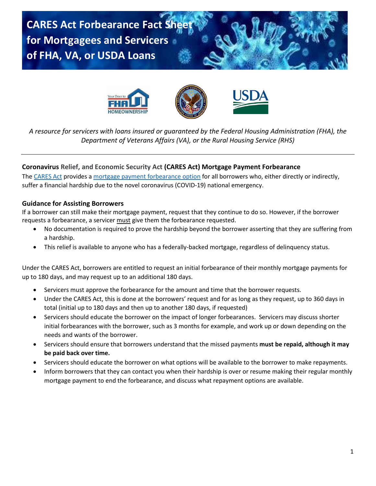**CARES Act Forbearance Fact Sheet for Mortgagees and Servicers of FHA, VA, or USDA Loans**









*A resource for servicers with loans insured or guaranteed by the Federal Housing Administration (FHA), the Department of Veterans Affairs (VA), or the Rural Housing Service (RHS)*

# **Coronavirus Relief, and Economic Security Act (CARES Act) Mortgage Payment Forbearance**

The [CARES Act](https://www.congress.gov/bill/116th-congress/house-bill/748/text?format=txt) provides a mortgage payment [forbearance option](https://youtu.be/br5EPugsnLs) for all borrowers who, either directly or indirectly, suffer a financial hardship due to the novel coronavirus (COVID-19) national emergency.

## **Guidance for Assisting Borrowers**

If a borrower can still make their mortgage payment, request that they continue to do so. However, if the borrower requests a forbearance, a servicer must give them the forbearance requested.

- No documentation is required to prove the hardship beyond the borrower asserting that they are suffering from a hardship.
- This relief is available to anyone who has a federally-backed mortgage, regardless of delinquency status.

Under the CARES Act, borrowers are entitled to request an initial forbearance of their monthly mortgage payments for up to 180 days, and may request up to an additional 180 days.

- Servicers must approve the forbearance for the amount and time that the borrower requests.
- Under the CARES Act, this is done at the borrowers' request and for as long as they request, up to 360 days in total (initial up to 180 days and then up to another 180 days, if requested)
- Servicers should educate the borrower on the impact of longer forbearances. Servicers may discuss shorter initial forbearances with the borrower, such as 3 months for example, and work up or down depending on the needs and wants of the borrower.
- Servicers should ensure that borrowers understand that the missed payments **must be repaid, although it may be paid back over time.**
- Servicers should educate the borrower on what options will be available to the borrower to make repayments.
- Inform borrowers that they can contact you when their hardship is over or resume making their regular monthly mortgage payment to end the forbearance, and discuss what repayment options are available.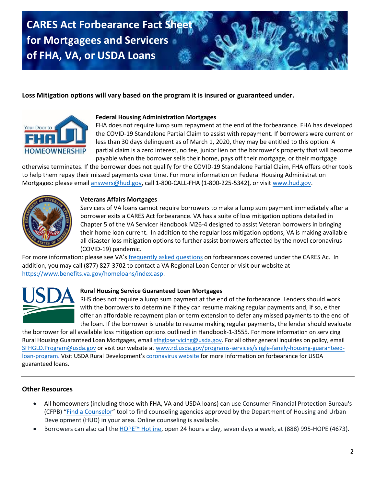**CARES Act Forbearance Fact Sheet for Mortgagees and Servicers of FHA, VA, or USDA Loans**

# **Loss Mitigation options will vary based on the program it is insured or guaranteed under.**



## **Federal Housing Administration Mortgages**

FHA does not require lump sum repayment at the end of the forbearance. FHA has developed the COVID-19 Standalone Partial Claim to assist with repayment. If borrowers were current or less than 30 days delinquent as of March 1, 2020, they may be entitled to this option. A partial claim is a zero interest, no fee, junior lien on the borrower's property that will become payable when the borrower sells their home, pays off their mortgage, or their mortgage

otherwise terminates. If the borrower does not qualify for the COVID-19 Standalone Partial Claim, FHA offers other tools to help them repay their missed payments over time. For more information on Federal Housing Administration Mortgages: please email [answers@hud.gov,](mailto:answers@hud.gov) call 1-800-CALL-FHA (1-800-225-5342), or visit [www.hud.gov.](http://www.hud.gov/)



## **Veterans Affairs Mortgages**

Servicers of VA loans cannot require borrowers to make a lump sum payment immediately after a borrower exits a CARES Act forbearance. VA has a suite of loss mitigation options detailed in Chapter 5 of the VA Servicer Handbook M26-4 designed to assist Veteran borrowers in bringing their home loan current. In addition to the regular loss mitigation options, VA is making available all disaster loss mitigation options to further assist borrowers affected by the novel coronavirus (COVID-19) pandemic.

For more information: please see VA's [frequently asked questions](http://www.benefits.va.gov/homeloans/documents/docs/cares_act_faq.pdf) on forbearances covered under the CARES Ac. In addition, you may call (877) 827-3702 to contact a VA Regional Loan Center or visit our website at [https://www.benefits.va.gov/homeloans/index.asp.](https://www.benefits.va.gov/homeloans/index.asp)



# **Rural Housing Service Guaranteed Loan Mortgages**

RHS does not require a lump sum payment at the end of the forbearance. Lenders should work with the borrowers to determine if they can resume making regular payments and, if so, either offer an affordable repayment plan or term extension to defer any missed payments to the end of the loan. If the borrower is unable to resume making regular payments, the lender should evaluate

the borrower for all available loss mitigation options outlined in Handbook-1-3555. For more information on servicing Rural Housing Guaranteed Loan Mortgages, emai[l sfhglpservicing@usda.gov.](mailto:sfhglpservicing@usda.gov) For all other general inquiries on policy, email [SFHGLD.Program@usda.gov](mailto:SFHGLD.Program@usda.gov) or visit our website at [www.rd.usda.gov/programs-services/single-family-housing-guaranteed](http://www.rd.usda.gov/programs-services/single-family-housing-guaranteed-loan-program)[loan-program.](http://www.rd.usda.gov/programs-services/single-family-housing-guaranteed-loan-program) Visit USDA Rural Development's [coronavirus website](https://www.rd.usda.gov/coronavirus) for more information on forbearance for USDA guaranteed loans.

# **Other Resources**

- All homeowners (including those with FHA, VA and USDA loans) can use Consumer Financial Protection Bureau's (CFPB) "[Find a Counselor](https://www.consumerfinance.gov/find-a-housing-counselor/)" tool to find counseling agencies approved by the Department of Housing and Urban Development (HUD) in your area. Online counseling is available.
- Borrowers can also call the [HOPE™ Hotline](https://www.consumerfinance.gov/ask-cfpb/i146ve-heard-about-something-called-the-hope153-hotline-what146s-that-en-263/), open 24 hours a day, seven days a week, at (888) 995-HOPE (4673).